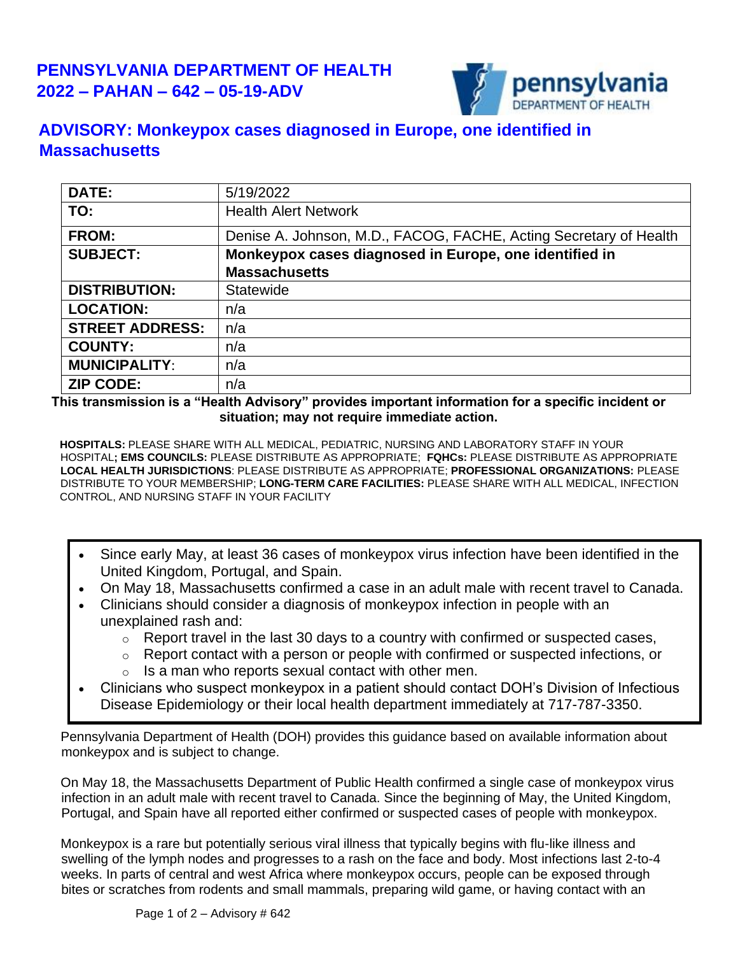

## **ADVISORY: Monkeypox cases diagnosed in Europe, one identified in Massachusetts**

| DATE:                  | 5/19/2022                                                         |
|------------------------|-------------------------------------------------------------------|
| TO:                    | <b>Health Alert Network</b>                                       |
| <b>FROM:</b>           | Denise A. Johnson, M.D., FACOG, FACHE, Acting Secretary of Health |
| <b>SUBJECT:</b>        | Monkeypox cases diagnosed in Europe, one identified in            |
|                        | <b>Massachusetts</b>                                              |
| <b>DISTRIBUTION:</b>   | Statewide                                                         |
| <b>LOCATION:</b>       | n/a                                                               |
| <b>STREET ADDRESS:</b> | n/a                                                               |
| <b>COUNTY:</b>         | n/a                                                               |
| <b>MUNICIPALITY:</b>   | n/a                                                               |
| <b>ZIP CODE:</b>       | n/a                                                               |

**This transmission is a "Health Advisory" provides important information for a specific incident or situation; may not require immediate action.**

**HOSPITALS:** PLEASE SHARE WITH ALL MEDICAL, PEDIATRIC, NURSING AND LABORATORY STAFF IN YOUR HOSPITAL**; EMS COUNCILS:** PLEASE DISTRIBUTE AS APPROPRIATE; **FQHCs:** PLEASE DISTRIBUTE AS APPROPRIATE **LOCAL HEALTH JURISDICTIONS**: PLEASE DISTRIBUTE AS APPROPRIATE; **PROFESSIONAL ORGANIZATIONS:** PLEASE DISTRIBUTE TO YOUR MEMBERSHIP; **LONG-TERM CARE FACILITIES:** PLEASE SHARE WITH ALL MEDICAL, INFECTION CONTROL, AND NURSING STAFF IN YOUR FACILITY

- Since early May, at least 36 cases of monkeypox virus infection have been identified in the United Kingdom, Portugal, and Spain.
- On May 18, Massachusetts confirmed a case in an adult male with recent travel to Canada.
- Clinicians should consider a diagnosis of monkeypox infection in people with an unexplained rash and:
	- $\circ$  Report travel in the last 30 days to a country with confirmed or suspected cases,
	- o Report contact with a person or people with confirmed or suspected infections, or
	- $\circ$  Is a man who reports sexual contact with other men.
- Clinicians who suspect monkeypox in a patient should contact DOH's Division of Infectious Disease Epidemiology or their local health department immediately at 717-787-3350.

Pennsylvania Department of Health (DOH) provides this guidance based on available information about monkeypox and is subject to change.

On May 18, the Massachusetts Department of Public Health confirmed a single case of monkeypox virus infection in an adult male with recent travel to Canada. Since the beginning of May, the United Kingdom, Portugal, and Spain have all reported either confirmed or suspected cases of people with monkeypox.

Monkeypox is a rare but potentially serious viral illness that typically begins with flu-like illness and swelling of the lymph nodes and progresses to a rash on the face and body. Most infections last 2-to-4 weeks. In parts of central and west Africa where monkeypox occurs, people can be exposed through bites or scratches from rodents and small mammals, preparing wild game, or having contact with an